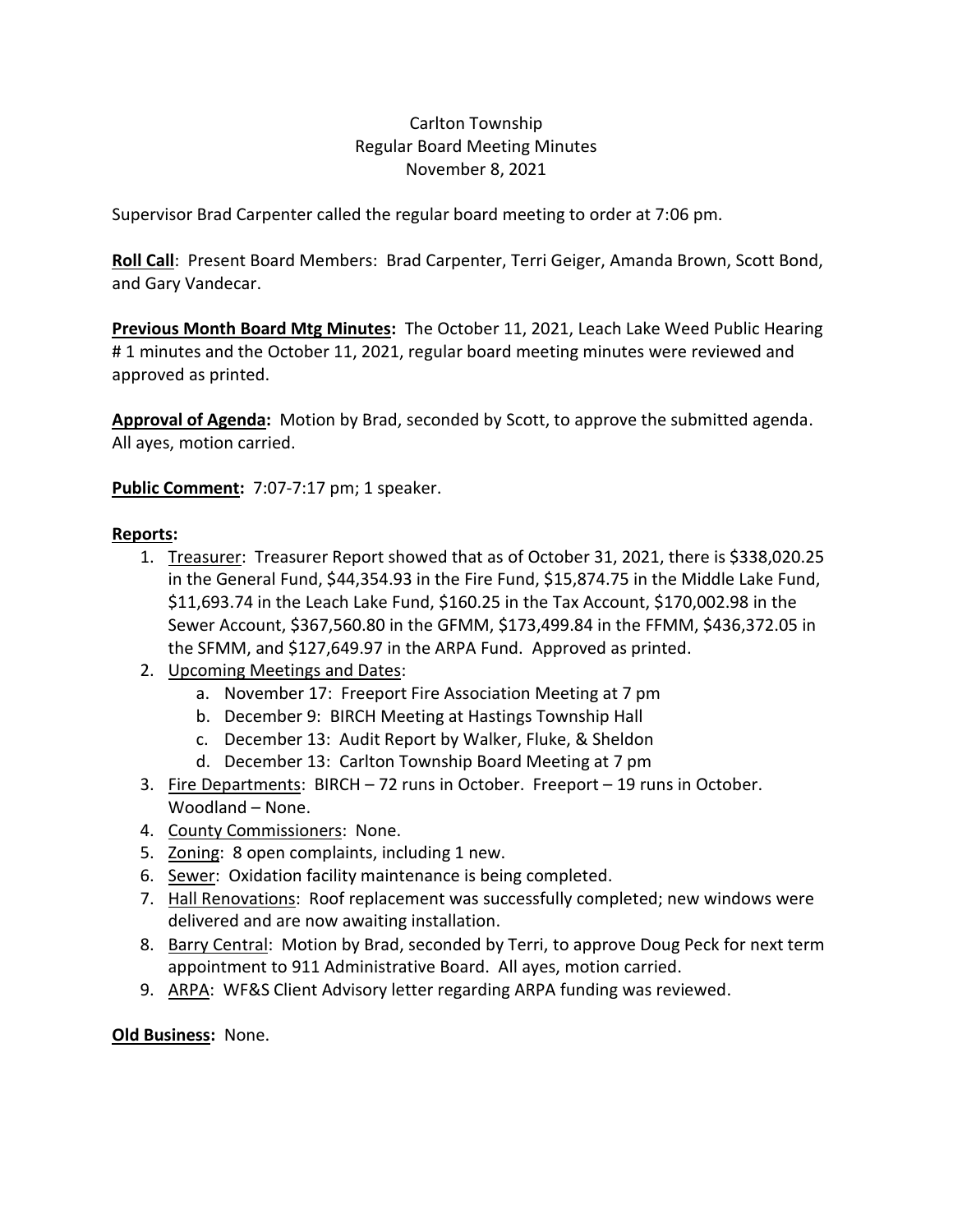## Carlton Township Regular Board Meeting Minutes November 8, 2021

Supervisor Brad Carpenter called the regular board meeting to order at 7:06 pm.

**Roll Call**: Present Board Members: Brad Carpenter, Terri Geiger, Amanda Brown, Scott Bond, and Gary Vandecar.

**Previous Month Board Mtg Minutes:** The October 11, 2021, Leach Lake Weed Public Hearing # 1 minutes and the October 11, 2021, regular board meeting minutes were reviewed and approved as printed.

**Approval of Agenda:** Motion by Brad, seconded by Scott, to approve the submitted agenda. All ayes, motion carried.

**Public Comment:** 7:07-7:17 pm; 1 speaker.

## **Reports:**

- 1. Treasurer: Treasurer Report showed that as of October 31, 2021, there is \$338,020.25 in the General Fund, \$44,354.93 in the Fire Fund, \$15,874.75 in the Middle Lake Fund, \$11,693.74 in the Leach Lake Fund, \$160.25 in the Tax Account, \$170,002.98 in the Sewer Account, \$367,560.80 in the GFMM, \$173,499.84 in the FFMM, \$436,372.05 in the SFMM, and \$127,649.97 in the ARPA Fund. Approved as printed.
- 2. Upcoming Meetings and Dates:
	- a. November 17: Freeport Fire Association Meeting at 7 pm
	- b. December 9: BIRCH Meeting at Hastings Township Hall
	- c. December 13: Audit Report by Walker, Fluke, & Sheldon
	- d. December 13: Carlton Township Board Meeting at 7 pm
- 3. Fire Departments: BIRCH 72 runs in October. Freeport 19 runs in October. Woodland – None.
- 4. County Commissioners: None.
- 5. Zoning: 8 open complaints, including 1 new.
- 6. Sewer: Oxidation facility maintenance is being completed.
- 7. Hall Renovations: Roof replacement was successfully completed; new windows were delivered and are now awaiting installation.
- 8. Barry Central: Motion by Brad, seconded by Terri, to approve Doug Peck for next term appointment to 911 Administrative Board. All ayes, motion carried.
- 9. ARPA: WF&S Client Advisory letter regarding ARPA funding was reviewed.

**Old Business:** None.